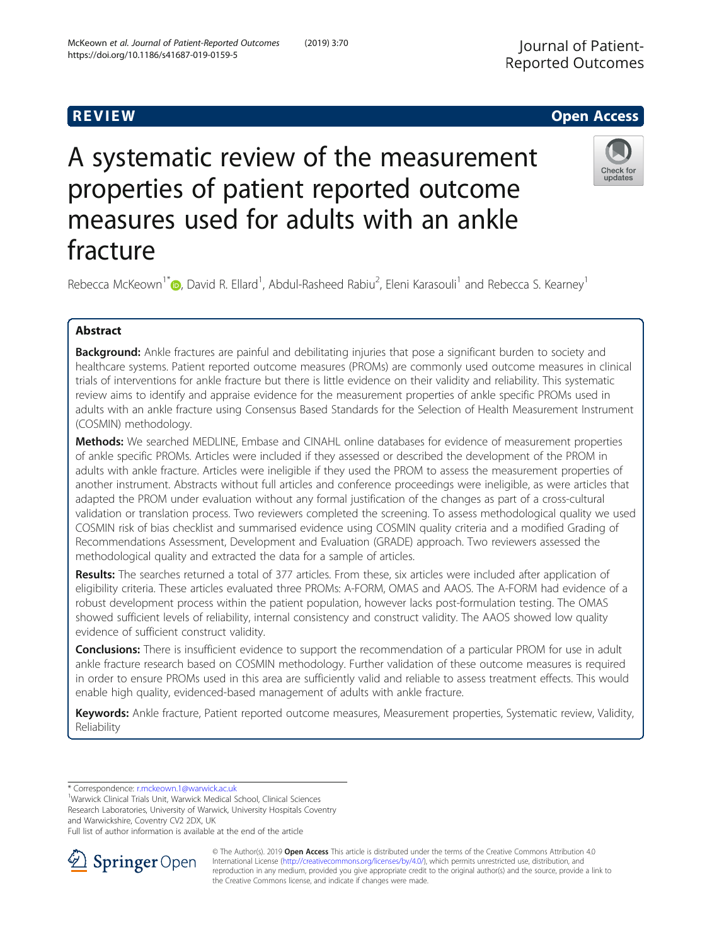# A systematic review of the measurement properties of patient reported outcome measures used for adults with an ankle fracture

Rebecca McKeown<sup>1\*</sup> (D[,](http://orcid.org/0000-0002-3502-2328) David R. Ellard<sup>1</sup>, Abdul-Rasheed Rabiu<sup>2</sup>, Eleni Karasouli<sup>1</sup> and Rebecca S. Kearney<sup>1</sup>

# Abstract

Background: Ankle fractures are painful and debilitating injuries that pose a significant burden to society and healthcare systems. Patient reported outcome measures (PROMs) are commonly used outcome measures in clinical trials of interventions for ankle fracture but there is little evidence on their validity and reliability. This systematic review aims to identify and appraise evidence for the measurement properties of ankle specific PROMs used in adults with an ankle fracture using Consensus Based Standards for the Selection of Health Measurement Instrument (COSMIN) methodology.

Methods: We searched MEDLINE, Embase and CINAHL online databases for evidence of measurement properties of ankle specific PROMs. Articles were included if they assessed or described the development of the PROM in adults with ankle fracture. Articles were ineligible if they used the PROM to assess the measurement properties of another instrument. Abstracts without full articles and conference proceedings were ineligible, as were articles that adapted the PROM under evaluation without any formal justification of the changes as part of a cross-cultural validation or translation process. Two reviewers completed the screening. To assess methodological quality we used COSMIN risk of bias checklist and summarised evidence using COSMIN quality criteria and a modified Grading of Recommendations Assessment, Development and Evaluation (GRADE) approach. Two reviewers assessed the methodological quality and extracted the data for a sample of articles.

Results: The searches returned a total of 377 articles. From these, six articles were included after application of eligibility criteria. These articles evaluated three PROMs: A-FORM, OMAS and AAOS. The A-FORM had evidence of a robust development process within the patient population, however lacks post-formulation testing. The OMAS showed sufficient levels of reliability, internal consistency and construct validity. The AAOS showed low quality evidence of sufficient construct validity.

**Conclusions:** There is insufficient evidence to support the recommendation of a particular PROM for use in adult ankle fracture research based on COSMIN methodology. Further validation of these outcome measures is required in order to ensure PROMs used in this area are sufficiently valid and reliable to assess treatment effects. This would enable high quality, evidenced-based management of adults with ankle fracture.

Keywords: Ankle fracture, Patient reported outcome measures, Measurement properties, Systematic review, Validity, Reliability

\* Correspondence: [r.mckeown.1@warwick.ac.uk](mailto:r.mckeown.1@warwick.ac.uk) <sup>1</sup>

<sup>1</sup>Warwick Clinical Trials Unit, Warwick Medical School, Clinical Sciences Research Laboratories, University of Warwick, University Hospitals Coventry and Warwickshire, Coventry CV2 2DX, UK

Full list of author information is available at the end of the article



McKeown et al. Journal of Patient-Reported Outcomes (2019) 3:70





updates

R EVI EW Open Access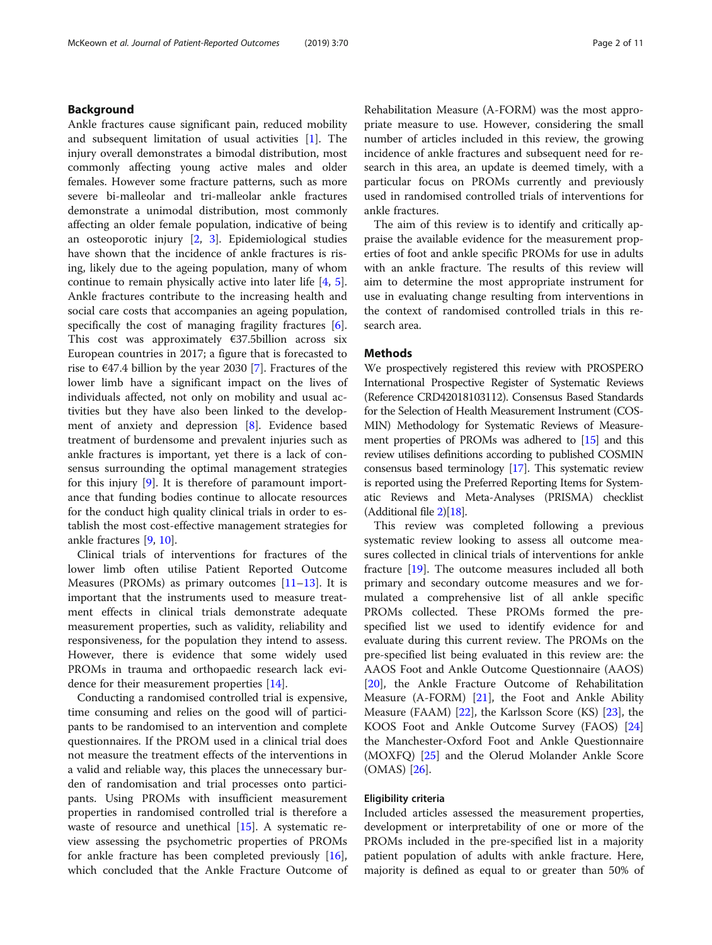# Background

Ankle fractures cause significant pain, reduced mobility and subsequent limitation of usual activities [[1](#page-9-0)]. The injury overall demonstrates a bimodal distribution, most commonly affecting young active males and older females. However some fracture patterns, such as more severe bi-malleolar and tri-malleolar ankle fractures demonstrate a unimodal distribution, most commonly affecting an older female population, indicative of being an osteoporotic injury [\[2](#page-9-0), [3](#page-9-0)]. Epidemiological studies have shown that the incidence of ankle fractures is rising, likely due to the ageing population, many of whom continue to remain physically active into later life [[4,](#page-9-0) [5](#page-9-0)]. Ankle fractures contribute to the increasing health and social care costs that accompanies an ageing population, specifically the cost of managing fragility fractures [\[6](#page-9-0)]. This cost was approximately  $\epsilon$ 37.5billion across six European countries in 2017; a figure that is forecasted to rise to  $\epsilon$ 47.4 billion by the year 2030 [[7\]](#page-9-0). Fractures of the lower limb have a significant impact on the lives of individuals affected, not only on mobility and usual activities but they have also been linked to the development of anxiety and depression [\[8](#page-9-0)]. Evidence based treatment of burdensome and prevalent injuries such as ankle fractures is important, yet there is a lack of consensus surrounding the optimal management strategies for this injury [\[9](#page-9-0)]. It is therefore of paramount importance that funding bodies continue to allocate resources for the conduct high quality clinical trials in order to establish the most cost-effective management strategies for ankle fractures [\[9](#page-9-0), [10\]](#page-9-0).

Clinical trials of interventions for fractures of the lower limb often utilise Patient Reported Outcome Measures (PROMs) as primary outcomes  $[11-13]$  $[11-13]$  $[11-13]$ . It is important that the instruments used to measure treatment effects in clinical trials demonstrate adequate measurement properties, such as validity, reliability and responsiveness, for the population they intend to assess. However, there is evidence that some widely used PROMs in trauma and orthopaedic research lack evidence for their measurement properties [[14\]](#page-9-0).

Conducting a randomised controlled trial is expensive, time consuming and relies on the good will of participants to be randomised to an intervention and complete questionnaires. If the PROM used in a clinical trial does not measure the treatment effects of the interventions in a valid and reliable way, this places the unnecessary burden of randomisation and trial processes onto participants. Using PROMs with insufficient measurement properties in randomised controlled trial is therefore a waste of resource and unethical [[15\]](#page-9-0). A systematic review assessing the psychometric properties of PROMs for ankle fracture has been completed previously [\[16](#page-9-0)], which concluded that the Ankle Fracture Outcome of

Rehabilitation Measure (A-FORM) was the most appropriate measure to use. However, considering the small number of articles included in this review, the growing incidence of ankle fractures and subsequent need for research in this area, an update is deemed timely, with a particular focus on PROMs currently and previously

The aim of this review is to identify and critically appraise the available evidence for the measurement properties of foot and ankle specific PROMs for use in adults with an ankle fracture. The results of this review will aim to determine the most appropriate instrument for use in evaluating change resulting from interventions in the context of randomised controlled trials in this research area.

used in randomised controlled trials of interventions for

# **Methods**

ankle fractures.

We prospectively registered this review with PROSPERO International Prospective Register of Systematic Reviews (Reference CRD42018103112). Consensus Based Standards for the Selection of Health Measurement Instrument (COS-MIN) Methodology for Systematic Reviews of Measurement properties of PROMs was adhered to [\[15\]](#page-9-0) and this review utilises definitions according to published COSMIN consensus based terminology [[17](#page-9-0)]. This systematic review is reported using the Preferred Reporting Items for Systematic Reviews and Meta-Analyses (PRISMA) checklist (Additional file [2\)](#page-8-0)[[18\]](#page-9-0).

This review was completed following a previous systematic review looking to assess all outcome measures collected in clinical trials of interventions for ankle fracture [\[19\]](#page-9-0). The outcome measures included all both primary and secondary outcome measures and we formulated a comprehensive list of all ankle specific PROMs collected. These PROMs formed the prespecified list we used to identify evidence for and evaluate during this current review. The PROMs on the pre-specified list being evaluated in this review are: the AAOS Foot and Ankle Outcome Questionnaire (AAOS) [[20\]](#page-9-0), the Ankle Fracture Outcome of Rehabilitation Measure (A-FORM) [[21](#page-9-0)], the Foot and Ankle Ability Measure (FAAM) [[22\]](#page-9-0), the Karlsson Score (KS) [\[23](#page-9-0)], the KOOS Foot and Ankle Outcome Survey (FAOS) [[24](#page-9-0)] the Manchester-Oxford Foot and Ankle Questionnaire (MOXFQ) [\[25\]](#page-9-0) and the Olerud Molander Ankle Score (OMAS) [[26\]](#page-9-0).

#### Eligibility criteria

Included articles assessed the measurement properties, development or interpretability of one or more of the PROMs included in the pre-specified list in a majority patient population of adults with ankle fracture. Here, majority is defined as equal to or greater than 50% of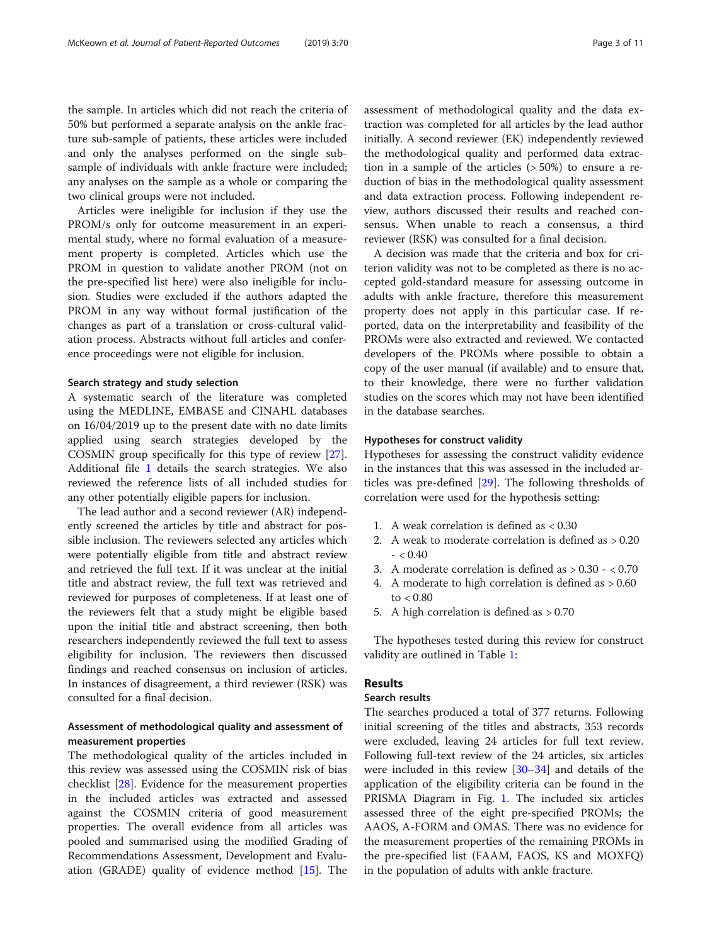the sample. In articles which did not reach the criteria of

50% but performed a separate analysis on the ankle fracture sub-sample of patients, these articles were included and only the analyses performed on the single subsample of individuals with ankle fracture were included; any analyses on the sample as a whole or comparing the two clinical groups were not included.

Articles were ineligible for inclusion if they use the PROM/s only for outcome measurement in an experimental study, where no formal evaluation of a measurement property is completed. Articles which use the PROM in question to validate another PROM (not on the pre-specified list here) were also ineligible for inclusion. Studies were excluded if the authors adapted the PROM in any way without formal justification of the changes as part of a translation or cross-cultural validation process. Abstracts without full articles and conference proceedings were not eligible for inclusion.

#### Search strategy and study selection

A systematic search of the literature was completed using the MEDLINE, EMBASE and CINAHL databases on 16/04/2019 up to the present date with no date limits applied using search strategies developed by the COSMIN group specifically for this type of review [\[27](#page-10-0)]. Additional file [1](#page-8-0) details the search strategies. We also reviewed the reference lists of all included studies for any other potentially eligible papers for inclusion.

The lead author and a second reviewer (AR) independently screened the articles by title and abstract for possible inclusion. The reviewers selected any articles which were potentially eligible from title and abstract review and retrieved the full text. If it was unclear at the initial title and abstract review, the full text was retrieved and reviewed for purposes of completeness. If at least one of the reviewers felt that a study might be eligible based upon the initial title and abstract screening, then both researchers independently reviewed the full text to assess eligibility for inclusion. The reviewers then discussed findings and reached consensus on inclusion of articles. In instances of disagreement, a third reviewer (RSK) was consulted for a final decision.

# Assessment of methodological quality and assessment of measurement properties

The methodological quality of the articles included in this review was assessed using the COSMIN risk of bias checklist [\[28\]](#page-10-0). Evidence for the measurement properties in the included articles was extracted and assessed against the COSMIN criteria of good measurement properties. The overall evidence from all articles was pooled and summarised using the modified Grading of Recommendations Assessment, Development and Evaluation (GRADE) quality of evidence method [[15\]](#page-9-0). The assessment of methodological quality and the data extraction was completed for all articles by the lead author initially. A second reviewer (EK) independently reviewed the methodological quality and performed data extraction in a sample of the articles (> 50%) to ensure a reduction of bias in the methodological quality assessment and data extraction process. Following independent review, authors discussed their results and reached consensus. When unable to reach a consensus, a third reviewer (RSK) was consulted for a final decision.

A decision was made that the criteria and box for criterion validity was not to be completed as there is no accepted gold-standard measure for assessing outcome in adults with ankle fracture, therefore this measurement property does not apply in this particular case. If reported, data on the interpretability and feasibility of the PROMs were also extracted and reviewed. We contacted developers of the PROMs where possible to obtain a copy of the user manual (if available) and to ensure that, to their knowledge, there were no further validation studies on the scores which may not have been identified in the database searches.

#### Hypotheses for construct validity

Hypotheses for assessing the construct validity evidence in the instances that this was assessed in the included articles was pre-defined [[29\]](#page-10-0). The following thresholds of correlation were used for the hypothesis setting:

- 1. A weak correlation is defined as < 0.30
- 2. A weak to moderate correlation is defined as > 0.20  $- < 0.40$
- 3. A moderate correlation is defined as > 0.30 < 0.70
- 4. A moderate to high correlation is defined as > 0.60 to < 0.80
- 5. A high correlation is defined as > 0.70

The hypotheses tested during this review for construct validity are outlined in Table [1:](#page-3-0)

# Results

# Search results

The searches produced a total of 377 returns. Following initial screening of the titles and abstracts, 353 records were excluded, leaving 24 articles for full text review. Following full-text review of the 24 articles, six articles were included in this review [[30](#page-10-0)–[34](#page-10-0)] and details of the application of the eligibility criteria can be found in the PRISMA Diagram in Fig. [1](#page-3-0). The included six articles assessed three of the eight pre-specified PROMs; the AAOS, A-FORM and OMAS. There was no evidence for the measurement properties of the remaining PROMs in the pre-specified list (FAAM, FAOS, KS and MOXFQ) in the population of adults with ankle fracture.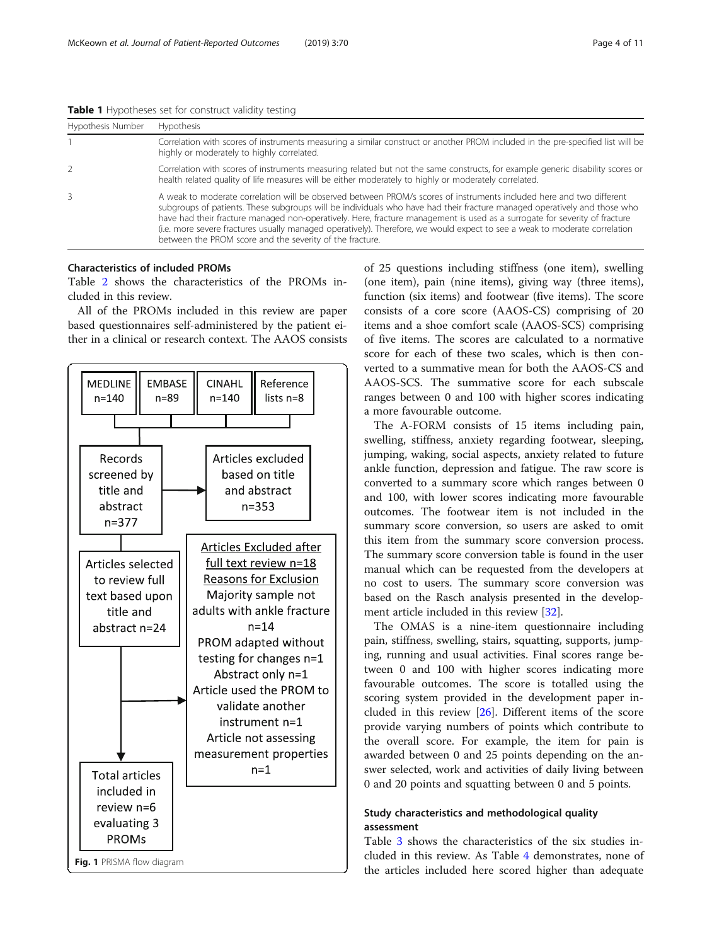<span id="page-3-0"></span>Table 1 Hypotheses set for construct validity testing

| Hypothesis Number | Hypothesis                                                                                                                                                                                                                                                                                                                                                                                                                                                                                                                                                               |  |  |  |  |
|-------------------|--------------------------------------------------------------------------------------------------------------------------------------------------------------------------------------------------------------------------------------------------------------------------------------------------------------------------------------------------------------------------------------------------------------------------------------------------------------------------------------------------------------------------------------------------------------------------|--|--|--|--|
|                   | Correlation with scores of instruments measuring a similar construct or another PROM included in the pre-specified list will be<br>highly or moderately to highly correlated.                                                                                                                                                                                                                                                                                                                                                                                            |  |  |  |  |
| 2                 | Correlation with scores of instruments measuring related but not the same constructs, for example generic disability scores or<br>health related quality of life measures will be either moderately to highly or moderately correlated.                                                                                                                                                                                                                                                                                                                                  |  |  |  |  |
| 3                 | A weak to moderate correlation will be observed between PROM/s scores of instruments included here and two different<br>subgroups of patients. These subgroups will be individuals who have had their fracture managed operatively and those who<br>have had their fracture managed non-operatively. Here, fracture management is used as a surrogate for severity of fracture<br>(i.e. more severe fractures usually managed operatively). Therefore, we would expect to see a weak to moderate correlation<br>between the PROM score and the severity of the fracture. |  |  |  |  |

# Characteristics of included PROMs

Table [2](#page-4-0) shows the characteristics of the PROMs included in this review.

All of the PROMs included in this review are paper based questionnaires self-administered by the patient either in a clinical or research context. The AAOS consists



of 25 questions including stiffness (one item), swelling (one item), pain (nine items), giving way (three items), function (six items) and footwear (five items). The score consists of a core score (AAOS-CS) comprising of 20 items and a shoe comfort scale (AAOS-SCS) comprising of five items. The scores are calculated to a normative score for each of these two scales, which is then converted to a summative mean for both the AAOS-CS and AAOS-SCS. The summative score for each subscale ranges between 0 and 100 with higher scores indicating a more favourable outcome.

The A-FORM consists of 15 items including pain, swelling, stiffness, anxiety regarding footwear, sleeping, jumping, waking, social aspects, anxiety related to future ankle function, depression and fatigue. The raw score is converted to a summary score which ranges between 0 and 100, with lower scores indicating more favourable outcomes. The footwear item is not included in the summary score conversion, so users are asked to omit this item from the summary score conversion process. The summary score conversion table is found in the user manual which can be requested from the developers at no cost to users. The summary score conversion was based on the Rasch analysis presented in the development article included in this review [\[32\]](#page-10-0).

The OMAS is a nine-item questionnaire including pain, stiffness, swelling, stairs, squatting, supports, jumping, running and usual activities. Final scores range between 0 and 100 with higher scores indicating more favourable outcomes. The score is totalled using the scoring system provided in the development paper included in this review [\[26](#page-9-0)]. Different items of the score provide varying numbers of points which contribute to the overall score. For example, the item for pain is awarded between 0 and 25 points depending on the answer selected, work and activities of daily living between 0 and 20 points and squatting between 0 and 5 points.

# Study characteristics and methodological quality assessment

Table [3](#page-4-0) shows the characteristics of the six studies included in this review. As Table [4](#page-5-0) demonstrates, none of the articles included here scored higher than adequate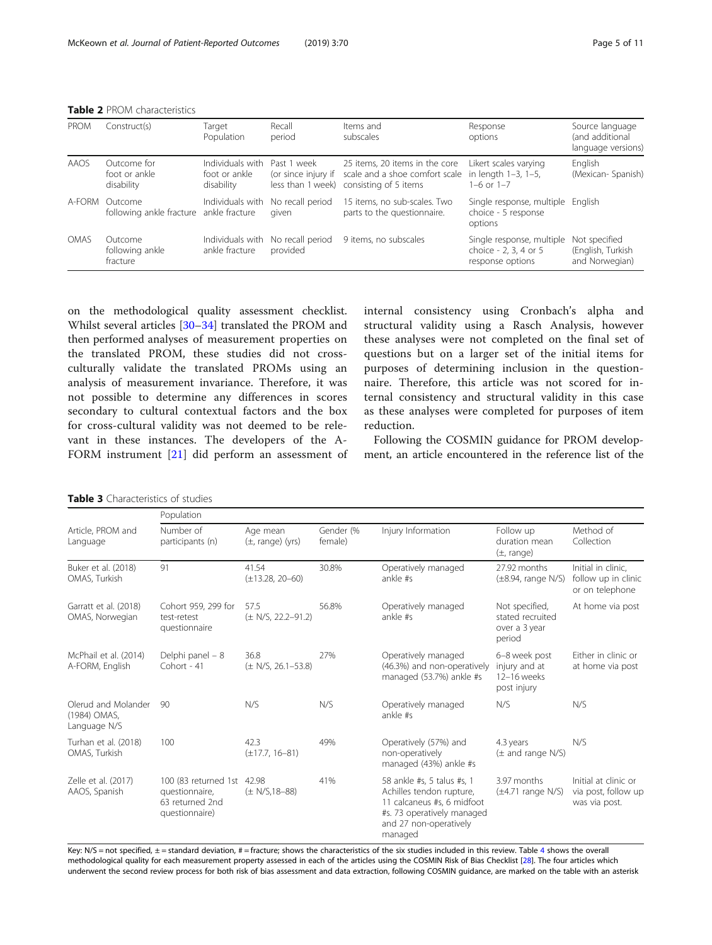<span id="page-4-0"></span>Table 2 PROM characteristics

| <b>PROM</b> | Construct(s)                                       | Target<br>Population                            | Recall<br>period                                        | Items and<br>subscales                                                                    | Response<br>options                                                    | Source language<br>(and additional<br>language versions) |
|-------------|----------------------------------------------------|-------------------------------------------------|---------------------------------------------------------|-------------------------------------------------------------------------------------------|------------------------------------------------------------------------|----------------------------------------------------------|
| AAOS        | Outcome for<br>foot or ankle<br>disability         | Individuals with<br>foot or ankle<br>disability | Past 1 week<br>(or since injury if<br>less than 1 week) | 25 items, 20 items in the core<br>scale and a shoe comfort scale<br>consisting of 5 items | Likert scales varying<br>in length 1-3, 1-5,<br>$1-6$ or $1-7$         | English<br>(Mexican-Spanish)                             |
| A-FORM      | Outcome<br>following ankle fracture ankle fracture | Individuals with                                | No recall period<br>aiven                               | 15 items, no sub-scales. Two<br>parts to the questionnaire.                               | Single response, multiple English<br>choice - 5 response<br>options    |                                                          |
| OMAS        | Outcome<br>following ankle<br>fracture             | Individuals with<br>ankle fracture              | No recall period<br>provided                            | 9 items, no subscales                                                                     | Single response, multiple<br>choice - 2, 3, 4 or 5<br>response options | Not specified<br>(English, Turkish<br>and Norwegian)     |

on the methodological quality assessment checklist. Whilst several articles [\[30](#page-10-0)–[34\]](#page-10-0) translated the PROM and then performed analyses of measurement properties on the translated PROM, these studies did not crossculturally validate the translated PROMs using an analysis of measurement invariance. Therefore, it was not possible to determine any differences in scores secondary to cultural contextual factors and the box for cross-cultural validity was not deemed to be relevant in these instances. The developers of the A-FORM instrument [\[21](#page-9-0)] did perform an assessment of

internal consistency using Cronbach's alpha and structural validity using a Rasch Analysis, however these analyses were not completed on the final set of questions but on a larger set of the initial items for purposes of determining inclusion in the questionnaire. Therefore, this article was not scored for internal consistency and structural validity in this case as these analyses were completed for purposes of item reduction.

Following the COSMIN guidance for PROM development, an article encountered in the reference list of the

#### Table 3 Characteristics of studies

Population Article, PROM and Language Number of participants (n) Age mean (±, range) (yrs) Gender (% female) Injury Information Follow up duration mean  $(+$ . range) Method of Collection Buker et al. (2018) OMAS, Turkish 91 41.54 (±13.28, 20–60) 30.8% Operatively managed ankle #s 27.92 months (±8.94, range N/S) Initial in clinic, follow up in clinic or on telephone Garratt et al. (2018) OMAS, Norwegian Cohort 959, 299 for test-retest questionnaire 57.5 (± N/S, 22.2–91.2) 56.8% Operatively managed ankle #s Not specified, stated recruited over a 3 year period At home via post McPhail et al. (2014) A-FORM, English Delphi panel – 8 Cohort - 41 36.8 (± N/S, 26.1–53.8) 27% Operatively managed (46.3%) and non-operatively managed (53.7%) ankle #s 6–8 week post injury and at 12–16 weeks post injury Either in clinic or at home via post Olerud and Molander (1984) OMAS, Language N/S 90 N/S N/S Operatively managed ankle #s N/S N/S Turhan et al. (2018) OMAS, Turkish 100 42.3 (±17.7, 16–81) 49% Operatively (57%) and non-operatively managed (43%) ankle #s 4.3 years (± and range N/S) N/S Zelle et al. (2017) AAOS, Spanish 100 (83 returned 1st 42.98 questionnaire, 63 returned 2nd questionnaire) (± N/S,18–88) 41% 58 ankle #s, 5 talus #s, 1 Achilles tendon rupture, 11 calcaneus #s, 6 midfoot #s. 73 operatively managed and 27 non-operatively managed 3.97 months  $(\pm 4.71$  range N/S) Initial at clinic or via post, follow up was via post.

Key: N/S = not specified,  $\pm$  = standard deviation, # = fracture; shows the characteristics of the six studies included in this review. Table [4](#page-5-0) shows the overall methodological quality for each measurement property assessed in each of the articles using the COSMIN Risk of Bias Checklist [[28\]](#page-10-0). The four articles which underwent the second review process for both risk of bias assessment and data extraction, following COSMIN guidance, are marked on the table with an asterisk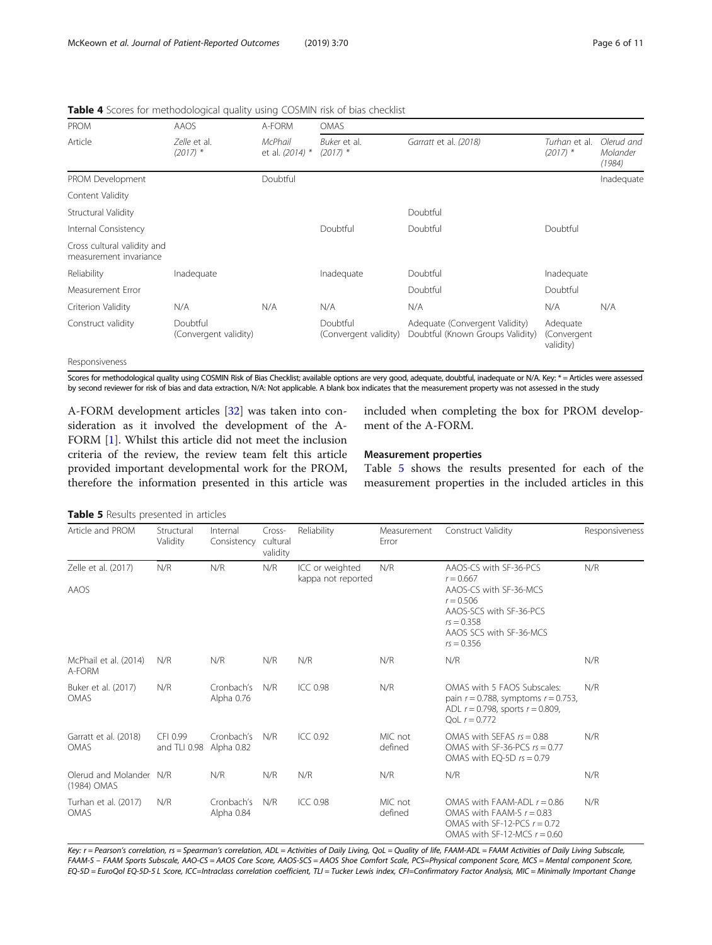| <b>PROM</b>                                           | AAOS                              | A-FORM                     | <b>OMAS</b>                       |                                                                    |                                      |                                  |  |
|-------------------------------------------------------|-----------------------------------|----------------------------|-----------------------------------|--------------------------------------------------------------------|--------------------------------------|----------------------------------|--|
| Article                                               | Zelle et al.<br>$(2017)$ *        | McPhail<br>et al. (2014) * | Buker et al.<br>$(2017)$ *        | Garratt et al. (2018)                                              | Turhan et al.<br>$(2017)$ *          | Olerud and<br>Molander<br>(1984) |  |
| PROM Development                                      |                                   | Doubtful                   |                                   |                                                                    |                                      | Inadequate                       |  |
| Content Validity                                      |                                   |                            |                                   |                                                                    |                                      |                                  |  |
| Structural Validity                                   |                                   |                            |                                   | Doubtful                                                           |                                      |                                  |  |
| Internal Consistency                                  |                                   |                            | Doubtful                          | Doubtful                                                           | Doubtful                             |                                  |  |
| Cross cultural validity and<br>measurement invariance |                                   |                            |                                   |                                                                    |                                      |                                  |  |
| Reliability                                           | Inadequate                        |                            | Inadequate                        | Doubtful                                                           | Inadequate                           |                                  |  |
| Measurement Error                                     |                                   |                            |                                   | Doubtful                                                           | Doubtful                             |                                  |  |
| Criterion Validity                                    | N/A                               | N/A                        | N/A                               | N/A                                                                | N/A                                  | N/A                              |  |
| Construct validity                                    | Doubtful<br>(Convergent validity) |                            | Doubtful<br>(Convergent validity) | Adequate (Convergent Validity)<br>Doubtful (Known Groups Validity) | Adequate<br>(Convergent<br>validity) |                                  |  |
| Dana an air iam ann                                   |                                   |                            |                                   |                                                                    |                                      |                                  |  |

<span id="page-5-0"></span>Table 4 Scores for methodological quality using COSMIN risk of bias checklist

Responsiveness

Scores for methodological quality using COSMIN Risk of Bias Checklist; available options are very good, adequate, doubtful, inadequate or N/A. Key: \* = Articles were assessed by second reviewer for risk of bias and data extraction, N/A: Not applicable. A blank box indicates that the measurement property was not assessed in the study

A-FORM development articles [[32\]](#page-10-0) was taken into consideration as it involved the development of the A-FORM [[1\]](#page-9-0). Whilst this article did not meet the inclusion criteria of the review, the review team felt this article provided important developmental work for the PROM, therefore the information presented in this article was

included when completing the box for PROM development of the A-FORM.

#### Measurement properties

Table 5 shows the results presented for each of the measurement properties in the included articles in this

Table 5 Results presented in articles

| Article and PROM                       | Structural<br>Validity   | Internal<br>Consistency  | Cross-<br>cultural<br>validity | Reliability                           | Measurement<br>Error | Construct Validity                                                                                                                    | Responsiveness |
|----------------------------------------|--------------------------|--------------------------|--------------------------------|---------------------------------------|----------------------|---------------------------------------------------------------------------------------------------------------------------------------|----------------|
| Zelle et al. (2017)                    | N/R                      | N/R                      | N/R                            | ICC or weighted<br>kappa not reported | N/R                  | AAOS-CS with SF-36-PCS<br>$r = 0.667$                                                                                                 | N/R            |
| AAOS                                   |                          |                          |                                |                                       |                      | AAOS-CS with SF-36-MCS<br>$r = 0.506$<br>AAOS-SCS with SF-36-PCS<br>$rs = 0.358$<br>AAOS SCS with SF-36-MCS<br>$rs = 0.356$           |                |
| McPhail et al. (2014)<br>A-FORM        | N/R                      | N/R                      | N/R                            | N/R                                   | N/R                  | N/R                                                                                                                                   | N/R            |
| Buker et al. (2017)<br><b>OMAS</b>     | N/R                      | Cronbach's<br>Alpha 0.76 | N/R                            | <b>ICC 0.98</b>                       | N/R                  | OMAS with 5 FAOS Subscales:<br>pain $r = 0.788$ , symptoms $r = 0.753$ ,<br>ADL $r = 0.798$ , sports $r = 0.809$ ,<br>Ool $r = 0.772$ | N/R            |
| Garratt et al. (2018)<br><b>OMAS</b>   | CFI 0.99<br>and TLI 0.98 | Cronbach's<br>Alpha 0.82 | N/R                            | $ICC$ 0.92                            | MIC not<br>defined   | OMAS with SFFAS $rs = 0.88$<br>OMAS with SF-36-PCS $rs = 0.77$<br>OMAS with EO-5D $rs = 0.79$                                         | N/R            |
| Olerud and Molander N/R<br>(1984) OMAS |                          | N/R                      | N/R                            | N/R                                   | N/R                  | N/R                                                                                                                                   | N/R            |
| Turhan et al. (2017)<br><b>OMAS</b>    | N/R                      | Cronbach's<br>Alpha 0.84 | N/R                            | ICC 0.98                              | MIC not<br>defined   | OMAS with FAAM-ADI $r = 0.86$<br>OMAS with FAAM-S $r = 0.83$<br>OMAS with SF-12-PCS $r = 0.72$<br>OMAS with SF-12-MCS $r = 0.60$      | N/R            |

Key: r = Pearson's correlation, rs = Spearman's correlation, ADL = Activities of Daily Living, QoL = Quality of life, FAAM-ADL = FAAM Activities of Daily Living Subscale, FAAM-S – FAAM Sports Subscale, AAO-CS = AAOS Core Score, AAOS-SCS = AAOS Shoe Comfort Scale, PCS=Physical component Score, MCS = Mental component Score, EQ-5D = EuroQol EQ-5D-5 L Score, ICC=Intraclass correlation coefficient, TLI = Tucker Lewis index, CFI=Confirmatory Factor Analysis, MIC = Minimally Important Change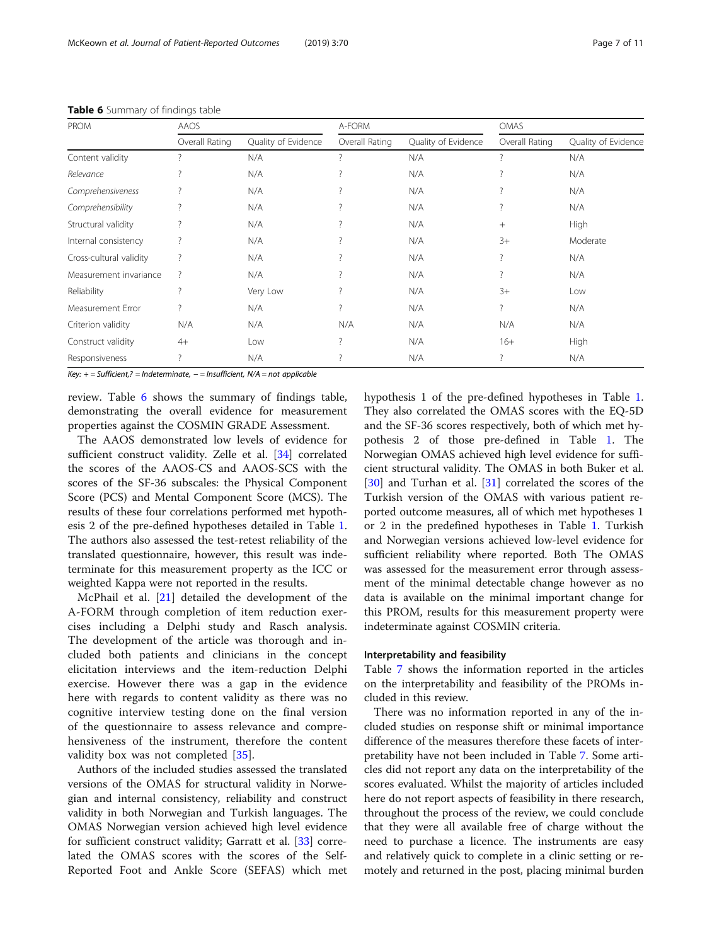| PROM                    | AAOS               |                     | A-FORM                   |                     | <b>OMAS</b>              |                     |
|-------------------------|--------------------|---------------------|--------------------------|---------------------|--------------------------|---------------------|
|                         | Overall Rating     | Quality of Evidence | Overall Rating           | Quality of Evidence | Overall Rating           | Quality of Evidence |
| Content validity        |                    | N/A                 | $\overline{\phantom{a}}$ | N/A                 | $\overline{\phantom{a}}$ | N/A                 |
| Relevance               | 2                  | N/A                 |                          | N/A                 |                          | N/A                 |
| Comprehensiveness       |                    | N/A                 |                          | N/A                 |                          | N/A                 |
| Comprehensibility       | ?                  | N/A                 |                          | N/A                 | ?                        | N/A                 |
| Structural validity     |                    | N/A                 |                          | N/A                 | $^{+}$                   | High                |
| Internal consistency    | ?                  | N/A                 |                          | N/A                 | $3+$                     | Moderate            |
| Cross-cultural validity | ?                  | N/A                 |                          | N/A                 | ?                        | N/A                 |
| Measurement invariance  | $\overline{\cdot}$ | N/A                 |                          | N/A                 | $\overline{\phantom{a}}$ | N/A                 |
| Reliability             | ?                  | Very Low            |                          | N/A                 | $3+$                     | Low                 |
| Measurement Error       | 7                  | N/A                 | $\overline{\phantom{a}}$ | N/A                 | ?                        | N/A                 |
| Criterion validity      | N/A                | N/A                 | N/A                      | N/A                 | N/A                      | N/A                 |
| Construct validity      | $4+$               | Low                 | $\overline{\phantom{a}}$ | N/A                 | $16+$                    | High                |
| Responsiveness          |                    | N/A                 |                          | N/A                 | 7                        | N/A                 |

Table 6 Summary of findings table

Key: + = Sufficient,? = Indeterminate, − = Insufficient, N/A = not applicable

review. Table 6 shows the summary of findings table, demonstrating the overall evidence for measurement properties against the COSMIN GRADE Assessment.

The AAOS demonstrated low levels of evidence for sufficient construct validity. Zelle et al. [[34\]](#page-10-0) correlated the scores of the AAOS-CS and AAOS-SCS with the scores of the SF-36 subscales: the Physical Component Score (PCS) and Mental Component Score (MCS). The results of these four correlations performed met hypothesis 2 of the pre-defined hypotheses detailed in Table [1](#page-3-0). The authors also assessed the test-retest reliability of the translated questionnaire, however, this result was indeterminate for this measurement property as the ICC or weighted Kappa were not reported in the results.

McPhail et al. [[21](#page-9-0)] detailed the development of the A-FORM through completion of item reduction exercises including a Delphi study and Rasch analysis. The development of the article was thorough and included both patients and clinicians in the concept elicitation interviews and the item-reduction Delphi exercise. However there was a gap in the evidence here with regards to content validity as there was no cognitive interview testing done on the final version of the questionnaire to assess relevance and comprehensiveness of the instrument, therefore the content validity box was not completed [[35\]](#page-10-0).

Authors of the included studies assessed the translated versions of the OMAS for structural validity in Norwegian and internal consistency, reliability and construct validity in both Norwegian and Turkish languages. The OMAS Norwegian version achieved high level evidence for sufficient construct validity; Garratt et al. [\[33](#page-10-0)] correlated the OMAS scores with the scores of the Self-Reported Foot and Ankle Score (SEFAS) which met hypothesis 1 of the pre-defined hypotheses in Table [1](#page-3-0). They also correlated the OMAS scores with the EQ-5D and the SF-36 scores respectively, both of which met hypothesis 2 of those pre-defined in Table [1](#page-3-0). The Norwegian OMAS achieved high level evidence for sufficient structural validity. The OMAS in both Buker et al. [[30\]](#page-10-0) and Turhan et al. [\[31\]](#page-10-0) correlated the scores of the Turkish version of the OMAS with various patient reported outcome measures, all of which met hypotheses 1 or 2 in the predefined hypotheses in Table [1.](#page-3-0) Turkish and Norwegian versions achieved low-level evidence for sufficient reliability where reported. Both The OMAS was assessed for the measurement error through assessment of the minimal detectable change however as no data is available on the minimal important change for this PROM, results for this measurement property were indeterminate against COSMIN criteria.

# Interpretability and feasibility

Table [7](#page-7-0) shows the information reported in the articles on the interpretability and feasibility of the PROMs included in this review.

There was no information reported in any of the included studies on response shift or minimal importance difference of the measures therefore these facets of interpretability have not been included in Table [7](#page-7-0). Some articles did not report any data on the interpretability of the scores evaluated. Whilst the majority of articles included here do not report aspects of feasibility in there research, throughout the process of the review, we could conclude that they were all available free of charge without the need to purchase a licence. The instruments are easy and relatively quick to complete in a clinic setting or remotely and returned in the post, placing minimal burden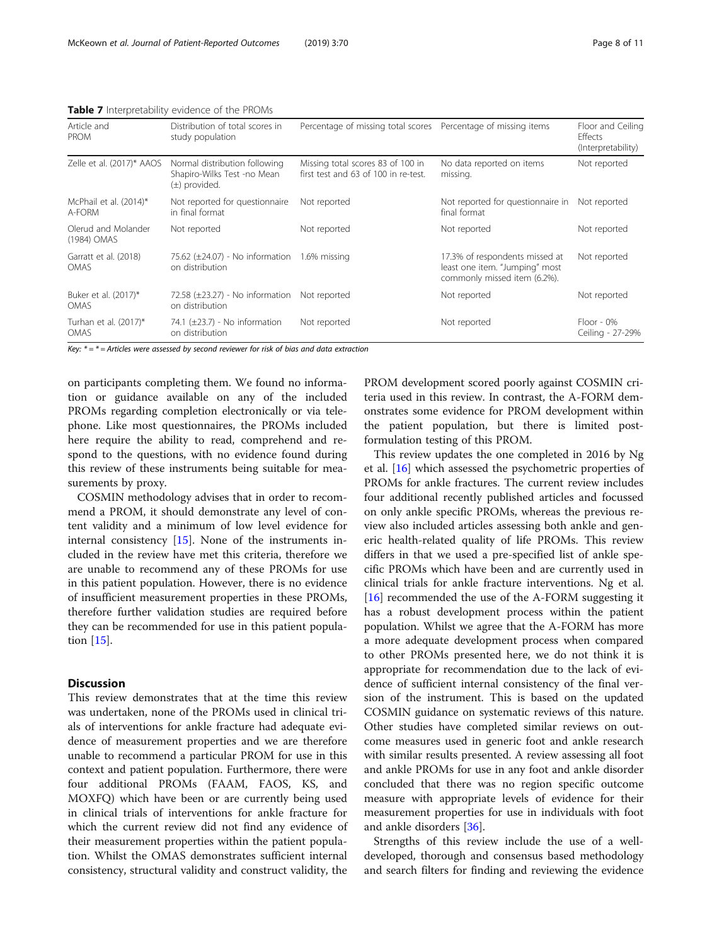| Article and<br><b>PROM</b>           | Distribution of total scores in<br>study population                               | Percentage of missing total scores Percentage of missing items            |                                                                                                  | Floor and Ceiling<br>Effects<br>(Interpretability) |
|--------------------------------------|-----------------------------------------------------------------------------------|---------------------------------------------------------------------------|--------------------------------------------------------------------------------------------------|----------------------------------------------------|
| Zelle et al. (2017)* AAOS            | Normal distribution following<br>Shapiro-Wilks Test -no Mean<br>$(\pm)$ provided. | Missing total scores 83 of 100 in<br>first test and 63 of 100 in re-test. | No data reported on items<br>missing.                                                            | Not reported                                       |
| McPhail et al. (2014)*<br>A-FORM     | Not reported for questionnaire<br>in final format                                 | Not reported                                                              | Not reported for questionnaire in<br>final format                                                | Not reported                                       |
| Olerud and Molander<br>(1984) OMAS   | Not reported                                                                      | Not reported                                                              | Not reported                                                                                     | Not reported                                       |
| Garratt et al. (2018)<br>OMAS        | 75.62 (±24.07) - No information<br>on distribution                                | 1.6% missing                                                              | 17.3% of respondents missed at<br>least one item. "Jumping" most<br>commonly missed item (6.2%). | Not reported                                       |
| Buker et al. (2017)*<br><b>OMAS</b>  | 72.58 (±23.27) - No information<br>on distribution                                | Not reported                                                              | Not reported                                                                                     | Not reported                                       |
| Turhan et al. (2017)*<br><b>OMAS</b> | 74.1 $(\pm 23.7)$ - No information<br>on distribution                             | Not reported                                                              | Not reported                                                                                     | $Floor - 0\%$<br>Ceiling - 27-29%                  |

<span id="page-7-0"></span>Table 7 Interpretability evidence of the PROMs

Key:  $* = * =$  Articles were assessed by second reviewer for risk of bias and data extraction

on participants completing them. We found no information or guidance available on any of the included PROMs regarding completion electronically or via telephone. Like most questionnaires, the PROMs included here require the ability to read, comprehend and respond to the questions, with no evidence found during this review of these instruments being suitable for measurements by proxy.

COSMIN methodology advises that in order to recommend a PROM, it should demonstrate any level of content validity and a minimum of low level evidence for internal consistency [[15\]](#page-9-0). None of the instruments included in the review have met this criteria, therefore we are unable to recommend any of these PROMs for use in this patient population. However, there is no evidence of insufficient measurement properties in these PROMs, therefore further validation studies are required before they can be recommended for use in this patient population [\[15\]](#page-9-0).

# **Discussion**

This review demonstrates that at the time this review was undertaken, none of the PROMs used in clinical trials of interventions for ankle fracture had adequate evidence of measurement properties and we are therefore unable to recommend a particular PROM for use in this context and patient population. Furthermore, there were four additional PROMs (FAAM, FAOS, KS, and MOXFQ) which have been or are currently being used in clinical trials of interventions for ankle fracture for which the current review did not find any evidence of their measurement properties within the patient population. Whilst the OMAS demonstrates sufficient internal consistency, structural validity and construct validity, the

PROM development scored poorly against COSMIN criteria used in this review. In contrast, the A-FORM demonstrates some evidence for PROM development within the patient population, but there is limited postformulation testing of this PROM.

This review updates the one completed in 2016 by Ng et al. [\[16\]](#page-9-0) which assessed the psychometric properties of PROMs for ankle fractures. The current review includes four additional recently published articles and focussed on only ankle specific PROMs, whereas the previous review also included articles assessing both ankle and generic health-related quality of life PROMs. This review differs in that we used a pre-specified list of ankle specific PROMs which have been and are currently used in clinical trials for ankle fracture interventions. Ng et al. [[16\]](#page-9-0) recommended the use of the A-FORM suggesting it has a robust development process within the patient population. Whilst we agree that the A-FORM has more a more adequate development process when compared to other PROMs presented here, we do not think it is appropriate for recommendation due to the lack of evidence of sufficient internal consistency of the final version of the instrument. This is based on the updated COSMIN guidance on systematic reviews of this nature. Other studies have completed similar reviews on outcome measures used in generic foot and ankle research with similar results presented. A review assessing all foot and ankle PROMs for use in any foot and ankle disorder concluded that there was no region specific outcome measure with appropriate levels of evidence for their measurement properties for use in individuals with foot and ankle disorders [[36\]](#page-10-0).

Strengths of this review include the use of a welldeveloped, thorough and consensus based methodology and search filters for finding and reviewing the evidence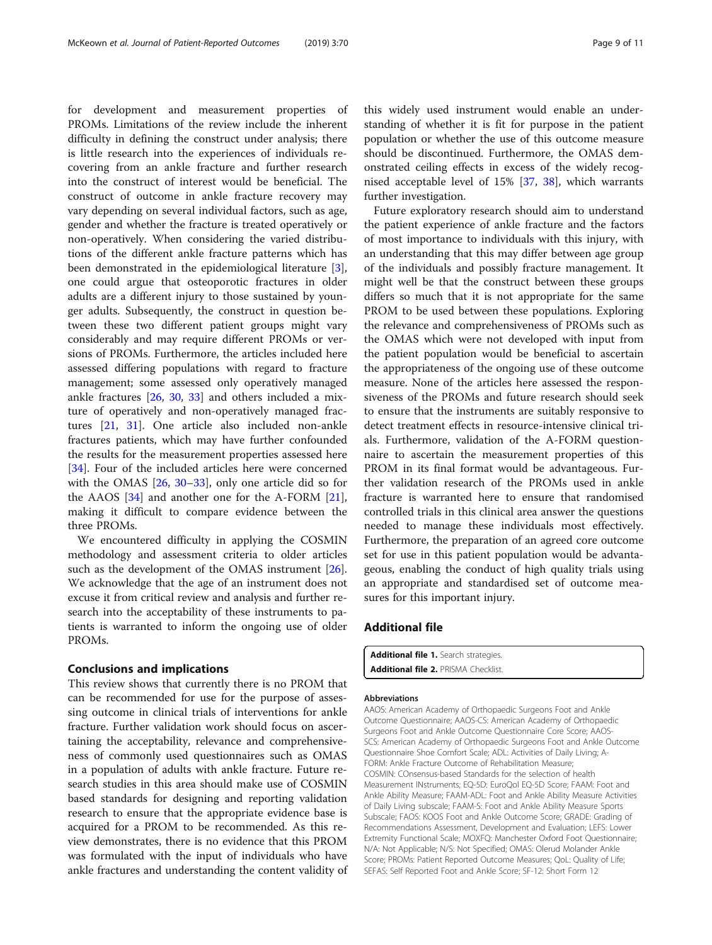<span id="page-8-0"></span>for development and measurement properties of PROMs. Limitations of the review include the inherent difficulty in defining the construct under analysis; there is little research into the experiences of individuals recovering from an ankle fracture and further research into the construct of interest would be beneficial. The construct of outcome in ankle fracture recovery may vary depending on several individual factors, such as age, gender and whether the fracture is treated operatively or non-operatively. When considering the varied distributions of the different ankle fracture patterns which has been demonstrated in the epidemiological literature [\[3](#page-9-0)], one could argue that osteoporotic fractures in older adults are a different injury to those sustained by younger adults. Subsequently, the construct in question between these two different patient groups might vary considerably and may require different PROMs or versions of PROMs. Furthermore, the articles included here assessed differing populations with regard to fracture management; some assessed only operatively managed ankle fractures [[26](#page-9-0), [30](#page-10-0), [33\]](#page-10-0) and others included a mixture of operatively and non-operatively managed fractures [\[21,](#page-9-0) [31\]](#page-10-0). One article also included non-ankle fractures patients, which may have further confounded the results for the measurement properties assessed here [[34\]](#page-10-0). Four of the included articles here were concerned with the OMAS [[26](#page-9-0), [30](#page-10-0)–[33\]](#page-10-0), only one article did so for the AAOS [\[34](#page-10-0)] and another one for the A-FORM [\[21](#page-9-0)], making it difficult to compare evidence between the three PROMs.

We encountered difficulty in applying the COSMIN methodology and assessment criteria to older articles such as the development of the OMAS instrument [\[26](#page-9-0)]. We acknowledge that the age of an instrument does not excuse it from critical review and analysis and further research into the acceptability of these instruments to patients is warranted to inform the ongoing use of older PROMs.

# Conclusions and implications

This review shows that currently there is no PROM that can be recommended for use for the purpose of assessing outcome in clinical trials of interventions for ankle fracture. Further validation work should focus on ascertaining the acceptability, relevance and comprehensiveness of commonly used questionnaires such as OMAS in a population of adults with ankle fracture. Future research studies in this area should make use of COSMIN based standards for designing and reporting validation research to ensure that the appropriate evidence base is acquired for a PROM to be recommended. As this review demonstrates, there is no evidence that this PROM was formulated with the input of individuals who have ankle fractures and understanding the content validity of

this widely used instrument would enable an understanding of whether it is fit for purpose in the patient population or whether the use of this outcome measure should be discontinued. Furthermore, the OMAS demonstrated ceiling effects in excess of the widely recognised acceptable level of 15% [[37,](#page-10-0) [38](#page-10-0)], which warrants further investigation.

Future exploratory research should aim to understand the patient experience of ankle fracture and the factors of most importance to individuals with this injury, with an understanding that this may differ between age group of the individuals and possibly fracture management. It might well be that the construct between these groups differs so much that it is not appropriate for the same PROM to be used between these populations. Exploring the relevance and comprehensiveness of PROMs such as the OMAS which were not developed with input from the patient population would be beneficial to ascertain the appropriateness of the ongoing use of these outcome measure. None of the articles here assessed the responsiveness of the PROMs and future research should seek to ensure that the instruments are suitably responsive to detect treatment effects in resource-intensive clinical trials. Furthermore, validation of the A-FORM questionnaire to ascertain the measurement properties of this PROM in its final format would be advantageous. Further validation research of the PROMs used in ankle fracture is warranted here to ensure that randomised controlled trials in this clinical area answer the questions needed to manage these individuals most effectively. Furthermore, the preparation of an agreed core outcome set for use in this patient population would be advantageous, enabling the conduct of high quality trials using an appropriate and standardised set of outcome measures for this important injury.

# Additional file

Additional file 1. Search strategies. Additional file 2. PRISMA Checklist.

#### Abbreviations

AAOS: American Academy of Orthopaedic Surgeons Foot and Ankle Outcome Questionnaire; AAOS-CS: American Academy of Orthopaedic Surgeons Foot and Ankle Outcome Questionnaire Core Score; AAOS-SCS: American Academy of Orthopaedic Surgeons Foot and Ankle Outcome Questionnaire Shoe Comfort Scale; ADL: Activities of Daily Living; A-FORM: Ankle Fracture Outcome of Rehabilitation Measure; COSMIN: COnsensus-based Standards for the selection of health Measurement INstruments; EQ-5D: EuroQol EQ-5D Score; FAAM: Foot and Ankle Ability Measure; FAAM-ADL: Foot and Ankle Ability Measure Activities of Daily Living subscale; FAAM-S: Foot and Ankle Ability Measure Sports Subscale; FAOS: KOOS Foot and Ankle Outcome Score; GRADE: Grading of Recommendations Assessment, Development and Evaluation; LEFS: Lower Extremity Functional Scale; MOXFQ: Manchester Oxford Foot Questionnaire; N/A: Not Applicable; N/S: Not Specified; OMAS: Olerud Molander Ankle Score; PROMs: Patient Reported Outcome Measures; QoL: Quality of Life; SEFAS: Self Reported Foot and Ankle Score; SF-12: Short Form 12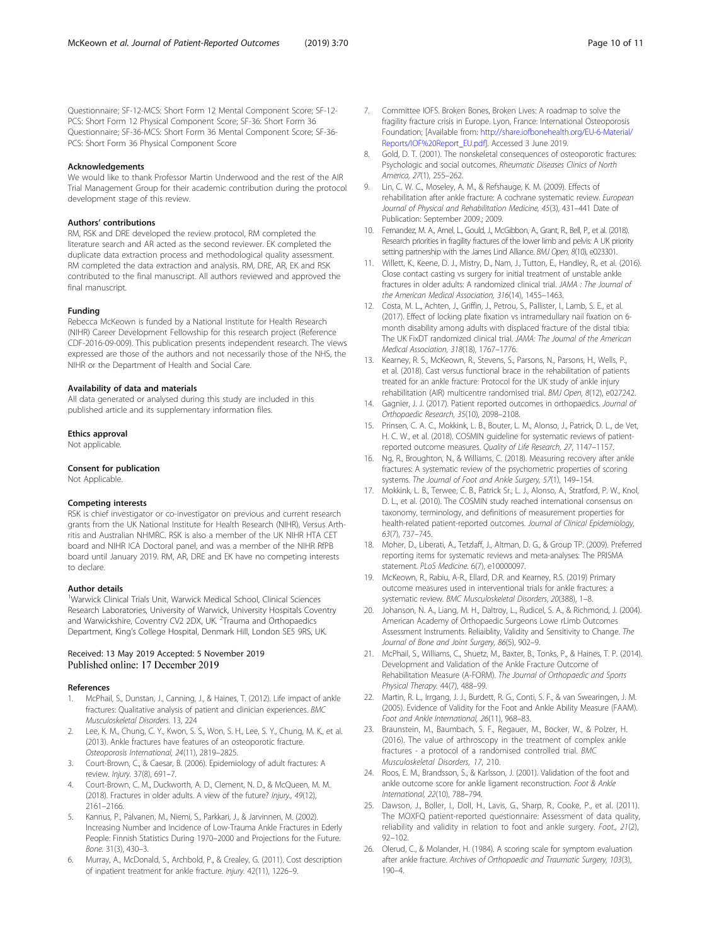<span id="page-9-0"></span>Questionnaire; SF-12-MCS: Short Form 12 Mental Component Score; SF-12- PCS: Short Form 12 Physical Component Score; SF-36: Short Form 36 Questionnaire; SF-36-MCS: Short Form 36 Mental Component Score; SF-36- PCS: Short Form 36 Physical Component Score

#### Acknowledgements

We would like to thank Professor Martin Underwood and the rest of the AIR Trial Management Group for their academic contribution during the protocol development stage of this review.

#### Authors' contributions

RM, RSK and DRE developed the review protocol, RM completed the literature search and AR acted as the second reviewer. EK completed the duplicate data extraction process and methodological quality assessment. RM completed the data extraction and analysis. RM, DRE, AR, EK and RSK contributed to the final manuscript. All authors reviewed and approved the final manuscript.

#### Funding

Rebecca McKeown is funded by a National Institute for Health Research (NIHR) Career Development Fellowship for this research project (Reference CDF-2016-09-009). This publication presents independent research. The views expressed are those of the authors and not necessarily those of the NHS, the NIHR or the Department of Health and Social Care.

#### Availability of data and materials

All data generated or analysed during this study are included in this published article and its supplementary information files.

#### Ethics approval

Not applicable.

#### Consent for publication

Not Applicable.

#### Competing interests

RSK is chief investigator or co-investigator on previous and current research grants from the UK National Institute for Health Research (NIHR), Versus Arthritis and Australian NHMRC. RSK is also a member of the UK NIHR HTA CET board and NIHR ICA Doctoral panel, and was a member of the NIHR RfPB board until January 2019. RM, AR, DRE and EK have no competing interests to declare.

#### Author details

<sup>1</sup>Warwick Clinical Trials Unit, Warwick Medical School, Clinical Sciences Research Laboratories, University of Warwick, University Hospitals Coventry and Warwickshire, Coventry CV2 2DX, UK. <sup>2</sup>Trauma and Orthopaedics Department, King's College Hospital, Denmark Hill, London SE5 9RS, UK.

#### Received: 13 May 2019 Accepted: 5 November 2019 Published online: 17 December 2019

#### References

- McPhail, S., Dunstan, J., Canning, J., & Haines, T. (2012). Life impact of ankle fractures: Qualitative analysis of patient and clinician experiences. BMC Musculoskeletal Disorders. 13, 224
- 2. Lee, K. M., Chung, C. Y., Kwon, S. S., Won, S. H., Lee, S. Y., Chung, M. K., et al. (2013). Ankle fractures have features of an osteoporotic fracture. Osteoporosis International, 24(11), 2819–2825.
- Court-Brown, C., & Caesar, B. (2006). Epidemiology of adult fractures: A review. Injury. 37(8), 691–7.
- 4. Court-Brown, C. M., Duckworth, A. D., Clement, N. D., & McQueen, M. M. (2018). Fractures in older adults. A view of the future? Injury., 49(12), 2161–2166.
- Kannus, P., Palvanen, M., Niemi, S., Parkkari, J., & Jarvinnen, M. (2002). Increasing Number and Incidence of Low-Trauma Ankle Fractures in Ederly People: Finnish Statistics During 1970–2000 and Projections for the Future. Bone. 31(3), 430–3.
- 6. Murray, A., McDonald, S., Archbold, P., & Crealey, G. (2011). Cost description of inpatient treatment for ankle fracture. Injury. 42(11), 1226–9.
- 7. Committee IOFS. Broken Bones, Broken Lives: A roadmap to solve the fragility fracture crisis in Europe. Lyon, France: International Osteoporosis Foundation; [Available from: [http://share.iofbonehealth.org/EU-6-Material/](http://share.iofbonehealth.org/EU-6-Material/Reports/IOF%20Report_EU.pdf) [Reports/IOF%20Report\\_EU.pdf\]](http://share.iofbonehealth.org/EU-6-Material/Reports/IOF%20Report_EU.pdf). Accessed 3 June 2019.
- 8. Gold, D. T. (2001). The nonskeletal consequences of osteoporotic fractures: Psychologic and social outcomes. Rheumatic Diseases Clinics of North America, 27(1), 255–262.
- 9. Lin, C. W. C., Moseley, A. M., & Refshauge, K. M. (2009). Effects of rehabilitation after ankle fracture: A cochrane systematic review. European Journal of Physical and Rehabilitation Medicine, 45(3), 431–441 Date of Publication: September 2009.; 2009.
- 10. Fernandez, M. A., Arnel, L., Gould, J., McGibbon, A., Grant, R., Bell, P., et al. (2018). Research priorities in fragility fractures of the lower limb and pelvis: A UK priority setting partnership with the James Lind Alliance. BMJ Open, 8(10), e023301.
- 11. Willett, K., Keene, D. J., Mistry, D., Nam, J., Tutton, E., Handley, R., et al. (2016). Close contact casting vs surgery for initial treatment of unstable ankle fractures in older adults: A randomized clinical trial. JAMA : The Journal of the American Medical Association, 316(14), 1455–1463.
- 12. Costa, M. L., Achten, J., Griffin, J., Petrou, S., Pallister, I., Lamb, S. E., et al. (2017). Effect of locking plate fixation vs intramedullary nail fixation on 6 month disability among adults with displaced fracture of the distal tibia: The UK FixDT randomized clinical trial. JAMA: The Journal of the American Medical Association, 318(18), 1767–1776.
- 13. Kearney, R. S., McKeown, R., Stevens, S., Parsons, N., Parsons, H., Wells, P., et al. (2018). Cast versus functional brace in the rehabilitation of patients treated for an ankle fracture: Protocol for the UK study of ankle injury rehabilitation (AIR) multicentre randomised trial. BMJ Open, 8(12), e027242.
- 14. Gagnier, J. J. (2017). Patient reported outcomes in orthopaedics. Journal of Orthopaedic Research, 35(10), 2098–2108.
- 15. Prinsen, C. A. C., Mokkink, L. B., Bouter, L. M., Alonso, J., Patrick, D. L., de Vet, H. C. W., et al. (2018). COSMIN guideline for systematic reviews of patientreported outcome measures. Quality of Life Research, 27, 1147–1157.
- 16. Ng, R., Broughton, N., & Williams, C. (2018). Measuring recovery after ankle fractures: A systematic review of the psychometric properties of scoring systems. The Journal of Foot and Ankle Surgery, 57(1), 149–154.
- 17. Mokkink, L. B., Terwee, C. B., Patrick Sr., L. J., Alonso, A., Stratford, P. W., Knol, D. L., et al. (2010). The COSMIN study reached international consensus on taxonomy, terminology, and definitions of measurement properties for health-related patient-reported outcomes. Journal of Clinical Epidemiology, 63(7), 737–745.
- 18. Moher, D., Liberati, A., Tetzlaff, J., Altman, D. G., & Group TP. (2009). Preferred reporting items for systematic reviews and meta-analyses: The PRISMA statement. PLoS Medicine. 6(7), e10000097.
- 19. McKeown, R., Rabiu, A-R., Ellard, D.R. and Kearney, R.S. (2019) Primary outcome measures used in interventional trials for ankle fractures: a systematic review. BMC Musculoskeletal Disorders, 20(388), 1–8.
- 20. Johanson, N. A., Liang, M. H., Daltroy, L., Rudicel, S. A., & Richmond, J. (2004). American Academy of Orthopaedic Surgeons Lowe rLimb Outcomes Assessment Instruments. Reliaiblity, Validity and Sensitivity to Change. The Journal of Bone and Joint Surgery, 86(5), 902–9.
- 21. McPhail, S., Williams, C., Shuetz, M., Baxter, B., Tonks, P., & Haines, T. P. (2014). Development and Validation of the Ankle Fracture Outcome of Rehabilitation Measure (A-FORM). The Journal of Orthopaedic and Sports Physical Therapy. 44(7), 488–99.
- 22. Martin, R. L., Irrgang, J. J., Burdett, R. G., Conti, S. F., & van Swearingen, J. M. (2005). Evidence of Validity for the Foot and Ankle Ability Measure (FAAM). Foot and Ankle International, 26(11), 968–83.
- 23. Braunstein, M., Baumbach, S. F., Regauer, M., Bocker, W., & Polzer, H. (2016). The value of arthroscopy in the treatment of complex ankle fractures - a protocol of a randomised controlled trial. BMC Musculoskeletal Disorders, 17, 210.
- 24. Roos, E. M., Brandsson, S., & Karlsson, J. (2001). Validation of the foot and ankle outcome score for ankle ligament reconstruction. Foot & Ankle International, 22(10), 788–794.
- 25. Dawson, J., Boller, I., Doll, H., Lavis, G., Sharp, R., Cooke, P., et al. (2011). The MOXFQ patient-reported questionnaire: Assessment of data quality, reliability and validity in relation to foot and ankle surgery. Foot., 21(2), 92–102.
- 26. Olerud, C., & Molander, H. (1984). A scoring scale for symptom evaluation after ankle fracture. Archives of Orthopaedic and Traumatic Surgery, 103(3), 190–4.